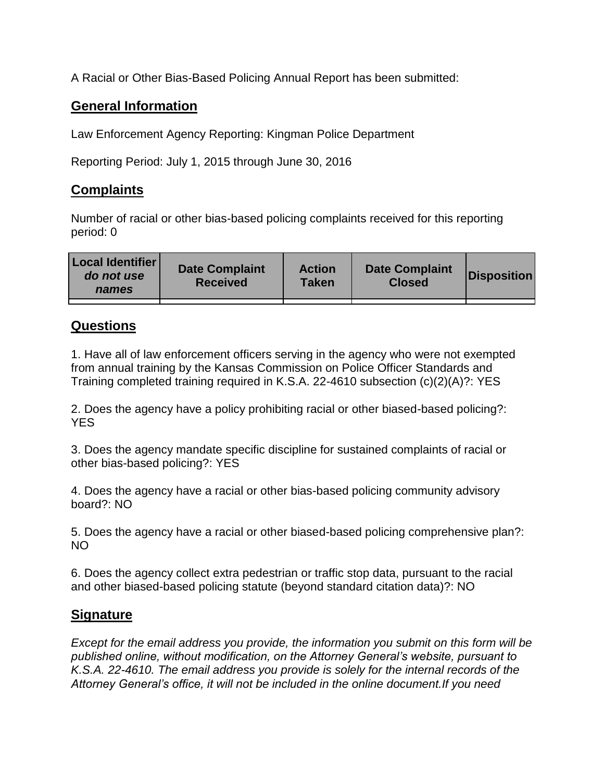A Racial or Other Bias-Based Policing Annual Report has been submitted:

## **General Information**

Law Enforcement Agency Reporting: Kingman Police Department

Reporting Period: July 1, 2015 through June 30, 2016

## **Complaints**

Number of racial or other bias-based policing complaints received for this reporting period: 0

| <b>Local Identifier</b><br>do not use<br>names | <b>Date Complaint</b><br><b>Received</b> | <b>Action</b><br><b>Taken</b> | <b>Date Complaint</b><br><b>Closed</b> | Disposition |
|------------------------------------------------|------------------------------------------|-------------------------------|----------------------------------------|-------------|
|                                                |                                          |                               |                                        |             |

## **Questions**

1. Have all of law enforcement officers serving in the agency who were not exempted from annual training by the Kansas Commission on Police Officer Standards and Training completed training required in K.S.A. 22-4610 subsection (c)(2)(A)?: YES

2. Does the agency have a policy prohibiting racial or other biased-based policing?: YES

3. Does the agency mandate specific discipline for sustained complaints of racial or other bias-based policing?: YES

4. Does the agency have a racial or other bias-based policing community advisory board?: NO

5. Does the agency have a racial or other biased-based policing comprehensive plan?: NO

6. Does the agency collect extra pedestrian or traffic stop data, pursuant to the racial and other biased-based policing statute (beyond standard citation data)?: NO

## **Signature**

*Except for the email address you provide, the information you submit on this form will be published online, without modification, on the Attorney General's website, pursuant to K.S.A. 22-4610. The email address you provide is solely for the internal records of the Attorney General's office, it will not be included in the online document.If you need*